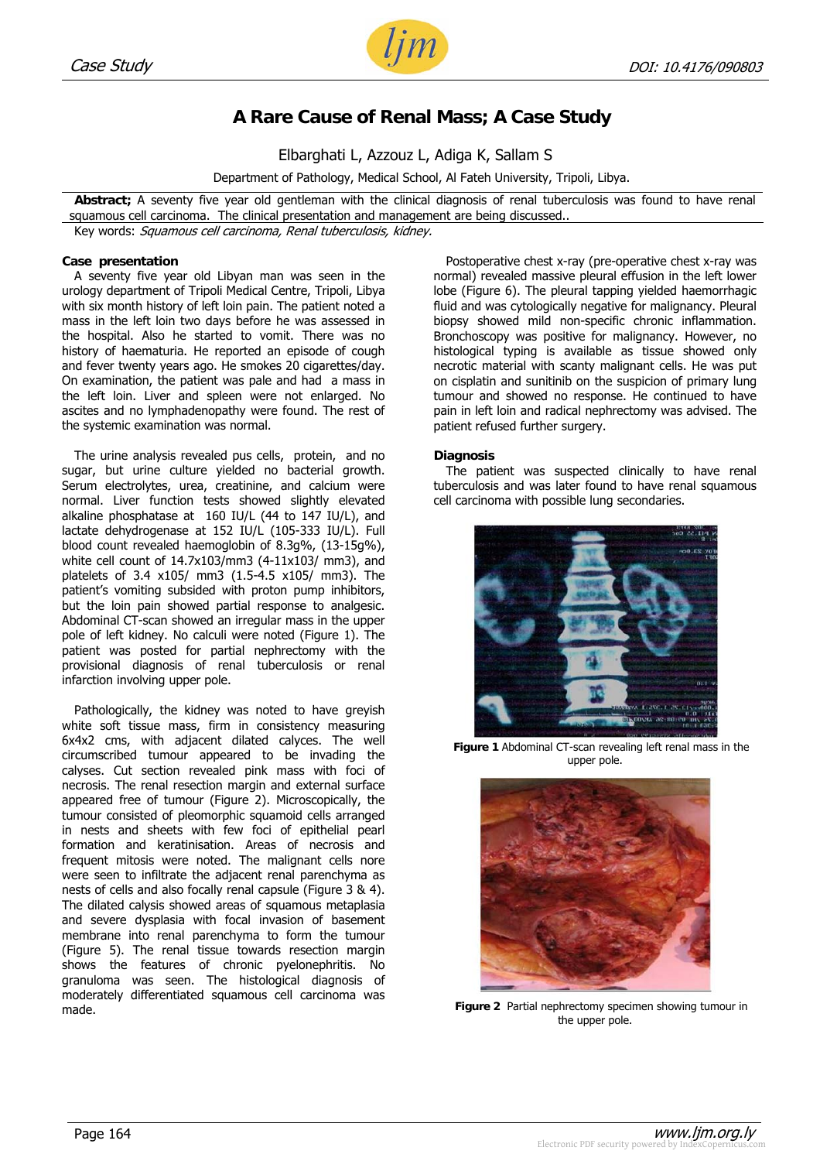

## **A Rare Cause of Renal Mass; A Case Study**

Elbarghati L, Azzouz L, Adiga K, Sallam S

Department of Pathology, Medical School, Al Fateh University, Tripoli, Libya.

**Abstract;** A seventy five year old gentleman with the clinical diagnosis of renal tuberculosis was found to have renal squamous cell carcinoma. The clinical presentation and management are being discussed.. Key words: Squamous cell carcinoma, Renal tuberculosis, kidney.

**Case presentation** 

A seventy five year old Libyan man was seen in the urology department of Tripoli Medical Centre, Tripoli, Libya with six month history of left loin pain. The patient noted a mass in the left loin two days before he was assessed in the hospital. Also he started to vomit. There was no history of haematuria. He reported an episode of cough and fever twenty years ago. He smokes 20 cigarettes/day. On examination, the patient was pale and had a mass in the left loin. Liver and spleen were not enlarged. No ascites and no lymphadenopathy were found. The rest of the systemic examination was normal.

The urine analysis revealed pus cells, protein, and no sugar, but urine culture yielded no bacterial growth. Serum electrolytes, urea, creatinine, and calcium were normal. Liver function tests showed slightly elevated alkaline phosphatase at 160 IU/L (44 to 147 IU/L), and lactate dehydrogenase at 152 IU/L (105-333 IU/L). Full blood count revealed haemoglobin of 8.3g%, (13-15g%), white cell count of 14.7x103/mm3 (4-11x103/ mm3), and platelets of 3.4 x105/ mm3 (1.5-4.5 x105/ mm3). The patient's vomiting subsided with proton pump inhibitors, but the loin pain showed partial response to analgesic. Abdominal CT-scan showed an irregular mass in the upper pole of left kidney. No calculi were noted (Figure 1). The patient was posted for partial nephrectomy with the provisional diagnosis of renal tuberculosis or renal infarction involving upper pole.

Pathologically, the kidney was noted to have greyish white soft tissue mass, firm in consistency measuring 6x4x2 cms, with adjacent dilated calyces. The well circumscribed tumour appeared to be invading the calyses. Cut section revealed pink mass with foci of necrosis. The renal resection margin and external surface appeared free of tumour (Figure 2). Microscopically, the tumour consisted of pleomorphic squamoid cells arranged in nests and sheets with few foci of epithelial pearl formation and keratinisation. Areas of necrosis and frequent mitosis were noted. The malignant cells nore were seen to infiltrate the adjacent renal parenchyma as nests of cells and also focally renal capsule (Figure 3 & 4). The dilated calysis showed areas of squamous metaplasia and severe dysplasia with focal invasion of basement membrane into renal parenchyma to form the tumour (Figure 5). The renal tissue towards resection margin shows the features of chronic pyelonephritis. No granuloma was seen. The histological diagnosis of moderately differentiated squamous cell carcinoma was made.

Postoperative chest x-ray (pre-operative chest x-ray was normal) revealed massive pleural effusion in the left lower lobe (Figure 6). The pleural tapping yielded haemorrhagic fluid and was cytologically negative for malignancy. Pleural biopsy showed mild non-specific chronic inflammation. Bronchoscopy was positive for malignancy. However, no histological typing is available as tissue showed only necrotic material with scanty malignant cells. He was put on cisplatin and sunitinib on the suspicion of primary lung tumour and showed no response. He continued to have pain in left loin and radical nephrectomy was advised. The patient refused further surgery.

## **Diagnosis**

The patient was suspected clinically to have renal tuberculosis and was later found to have renal squamous cell carcinoma with possible lung secondaries.



**Figure 1** Abdominal CT-scan revealing left renal mass in the upper pole.



**Figure 2** Partial nephrectomy specimen showing tumour in the upper pole.